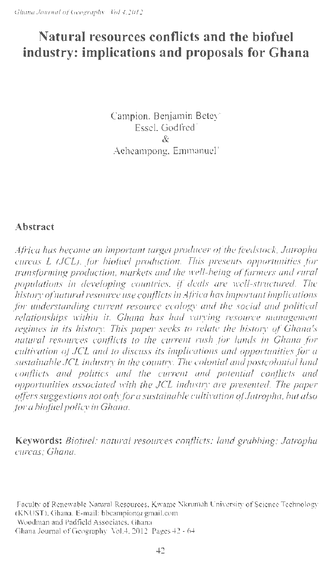# **Natural resources conflicts and the biofuel industry: implications and proposals for Ghana**

Campion, Benjamin Betey" Essel, Godfred & Acheampong, Emmanuel'

#### **Abstract**

*Africa has become an important target producer of the feedstock, Jatropha curcas L (JCL), for biofuel production. This presents opportunities for transforming production, markets and the well-being of farmers and rural populations in developing countries,* if *deals are well-structured. The history of natural resource use confhcts in Africa has important imp* Ii *ca lions for understanding current resource ecology and the social and political relationships within it. Ghana has had varying resource management regimes in its history. This paper seeks to relate the history of Ghana's natural resources conflicts to the current rush for lands in Ghana for cultivation of JCL and to discuss its implications and opportunities for a*  sustainable JCL industry in the country. The colonial and postcolonial land *conflicts and politics and the current and potential conflicts and opportunities associated with the JCL indust1y are presented. The paper offers suggestions not only for a sustainable cultivation of Jatropha, but also for a biofuel policy in Ghana.* 

**Keywords:** *Biofuel; natural resources conflicts; land grabbing; Jatropha curcas; Ghana.* 

Woodman and Padfield Associates, Ghana

<sup>·</sup>Faculty of Renewable Natural Resources, Kwame Nkrumah University of Science Technology  $(KNUST)$ , Ghana. E-mail: bbcampion $\omega$  gmail.com

Ghana Journal of Geography Vol.4, 2012 Pages 42 - 64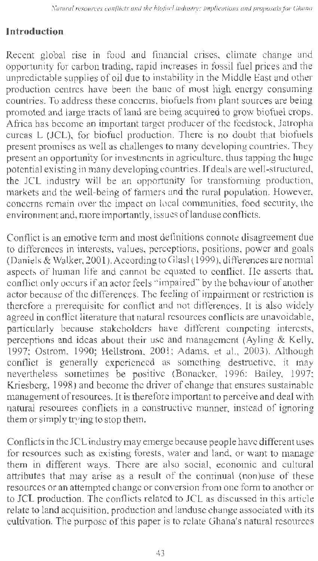#### **Introduction**

Recent global rise in food and financial crises, climate change and opportunity for carbon trading, rapid increases in fossil fuel prices and the unpredictable supplies of oil due to instability in the Middle East and other production centres have been the bane of most high energy consuming countries. To address these concerns, biofuels from plant sources are being promoted and large tracts of land are being acquired to grow biofuel crops. Africa has become an important target producer of the feedstock, Jatropha curcas L (JCL), for biofuel production. There is no doubt that biofuels present promises as well as challenges to many developing countries. They present an opportunity for investments in agriculture, thus tapping the huge potential existing in many developing countries. If deals are well-structured, the JCL industry will be an opportunity for transforming production, markets and the well-being of fanners and the rural population. However, concerns remain over the impact on local communities, food security, the environment and, more importantly, issues of landuse conflicts.

Conflict is an emotive term and most definitions connote disagreement due to differences in interests, values, perceptions, positions, power and goals (Daniels & Walker, 2001 ). According to Glas! ( 1999), differences are normal aspects of human life and cannot be equated to conflict. He asserts that, conflict only occurs if an actor feels "impaired" by the behaviour of another actor because of the differences. The feeling of impairment or restriction is therefore a prerequisite for conflict and not differences. It is also widely agreed in conflict literature that natural resources conflicts are unavoidable, particularly because stakeholders have different competing interests, perceptions and ideas about their use and management (Ayling & Kelly, 1997; Ostrom, 1990; Hellstrom, 200 I; Adams, et al., 2003). Although conflict is generally experienced as something destructive, it may nevertheless sometimes be positive (Bonacker, 1996; Bailey, 1997; Kriesberg, 1998) and become the driver of change that ensures sustainable management ofresources. It is therefore important to perceive and deal with natural resources conflicts in a constructive manner, instead of ignoring them or simply trying to stop them.

Conflicts in the JCL industry may emerge because people have different uses for resources such as existing forests, water and land, or want to manage them in different ways. There are also social, economic and cultural attributes that may arise as a result of the continual (non)use of these resources or an attempted change or conversion from one form to another or to JCL production. The conflicts related to JCL as discussed in this article relate to land acquisition, production and landuse change associated with its cultivation. The purpose of this paper is to relate Ghana's natural resources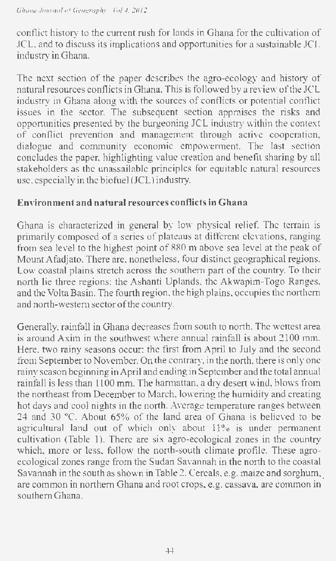conflict history to the current rush for lands in Ghana for the cultivation of JCL, and to discuss its implications and opportunities for a sustainable JCL industry in Ghana.

The next section of the paper describes the agro-ecology and history of natural resources conflicts in Ghana. This is followed by a review of the JCL industry in Ghana along with the sources of conflicts or potential conflict issues in the sector. The subsequent section appraises the risks and opportunities presented by the burgeoning JCL industry within the context of conflict prevention and management through active cooperation, dialogue and community economic empowerment. The last section concludes the paper, highlighting value creation and benefit sharing by all stakeholders as the unassailable principles for equitable natural resources use, especially in the biofuel (JCL) industry.

#### **Environment and natural resources conflicts in Ghana**

Ghana is characterized in general by low physical relief. The terrain is primarily composed of a series of plateaus at different elevations, ranging from sea level to the highest point of 880 m above sea level at the peak of MountAfadjato. There are, nonetheless, four distinct geographical regions. Low coastal plains stretch across the southern part of the country. To their north lie three regions: the Ashanti Uplands, the Akwapim-Togo Ranges, and the Volta Basin. The fourth region, the high plains, occupies the northern and north-western sector of the country.

Generally, rainfall in Ghana decreases from south to north. The wettest area is around Axim in the southwest where annual rainfall is about 2100 mm. Here, two rainy seasons occur: the first from April to July and the second from September to November. On the contrary, in the north, there is only one rainy season beginning inApril and ending in September and the total annual rainfall is less than 1100 mm. The harmattan, a dry desert wind, blows from the northeast from December to March, lowering the humidity and creating hot days and cool nights in the north. Average temperature ranges between 24 and 30 °C. About 65% of the land area of Ghana is believed to be agricultural land out of which only about 11% is under permanent cultivation (Table 1). There are six agro-ecological zones in the country which, more or less, follow the north-south climate profile. These agroecological zones range from the Sudan Savannah in the north to the coastal Savannah in the south as shown in Table 2. Cereals, e.g. maize and sorghum,. are common in northern Ghana and root crops, e.g. cassava, are common in southern Ghana.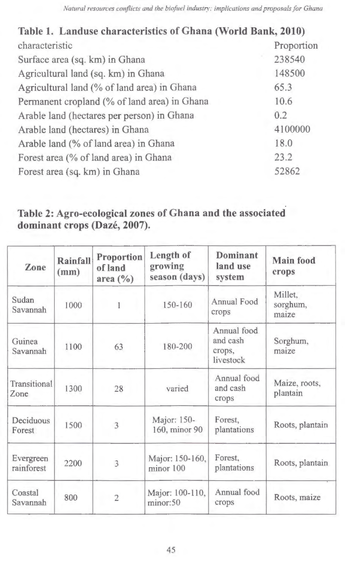| Table 1. Landuse characteristics of Ghana (World Bank, 2010) |         |  |  |
|--------------------------------------------------------------|---------|--|--|
| characteristic<br>Proportion                                 |         |  |  |
| Surface area (sq. km) in Ghana                               | 238540  |  |  |
| Agricultural land (sq. km) in Ghana                          | 148500  |  |  |
| Agricultural land (% of land area) in Ghana                  | 65.3    |  |  |
| Permanent cropland (% of land area) in Ghana                 | 10.6    |  |  |
| Arable land (hectares per person) in Ghana                   | 0.2     |  |  |
| Arable land (hectares) in Ghana                              | 4100000 |  |  |
| 18.0<br>Arable land (% of land area) in Ghana                |         |  |  |
| 23.2<br>Forest area (% of land area) in Ghana                |         |  |  |
| 52862<br>Forest area (sq. km) in Ghana                       |         |  |  |

# Table 2: Agro-ecological zones of Ghana and the associated dominant crops (Dazé, 2007).

| Zone                    | Rainfall<br>(mm) | Proportion<br>of land<br>area $(\% )$ | Length of<br>growing<br>season (days) | Dominant<br>land use<br>system                 | <b>Main food</b><br>crops    |
|-------------------------|------------------|---------------------------------------|---------------------------------------|------------------------------------------------|------------------------------|
| Sudan<br>Savannah       | 1000             |                                       | 150-160                               | Annual Food<br>crops                           | Millet,<br>sorghum,<br>maize |
| Guinea<br>Savannah      | 1100             | 63                                    | 180-200                               | Annual food<br>and cash<br>crops,<br>livestock | Sorghum,<br>maize            |
| Transitional<br>Zone    | 1300             | 28                                    | varied                                | Annual food<br>and cash<br>crops               | Maize, roots,<br>plantain    |
| Deciduous<br>Forest     | 1500             | 3                                     | Major: 150-<br>160, minor 90          | Forest,<br>plantations                         | Roots, plantain              |
| Evergreen<br>rainforest | 2200             | 3                                     | Major: 150-160,<br>minor 100          | Forest,<br>plantations                         | Roots, plantain              |
| Coastal<br>Savannah     | 800              | $\overline{2}$                        | Major: 100-110,<br>minor:50           | Annual food<br>crops                           | Roots, maize                 |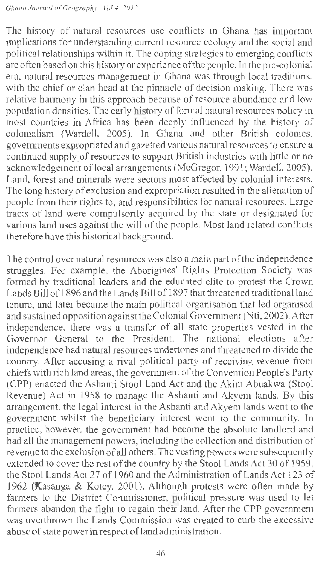The history of natural resources use conflicts in Ghana has important implications for understanding current resource ecology and the social and political relationships within it. The coping strategies to emerging conflicts are often based on this history or experience of the people. In the pre-colonial era, natural resources management in Ghana was through local traditions, with the chief or clan head at the pinnacle of decision making. There was relative harmony in this approach because of resource abundance and low population densities. The early history of formal natural resources policy in most countries in Africa has been deeply influenced by the history of colonialism (Wardell, 2005). In Ghana and other British colonies, governments expropriated and gazetted various natural resources to ensure a continued supply of resources to support British industries with little or no acknowledgement of local arrangements (McGregor, 1991; Wardell, 2005). Land, forest and minerals were sectors most affected by colonial interests. The long history of exclusion and expropriation resulted in the alienation of people from their rights to, and responsibilities for natural resources. Large tracts of land were compulsorily acquired by the state or designated for various land uses against the will of the people. Most land related conflicts therefore have this historical background.

The control over natural resources was also a main part of the independence struggles. For example, the Aborigines' Rights Protection Society was formed by traditional leaders and the educated elite to protest the Crown Lands Bill of 1896 and the Lands Bill of 1897 that threatened traditional land tenure, and later became the main political organisation that led organised and sustained opposition against the Colonial Government (Nti, 2002). After independence, there was a transfer of all state properties vested in the Governor General to the President. The national elections after independence had natural resources undertones and threatened to divide the country. After accusing a rival political party of receiving revenue from chiefs with rich land areas, the government of the Convention People's Party (CPP) enacted the Ashanti Stool Land Act and the Akim Abuakwa (Stool Revenue) Act in 1958 to manage the Ashanti and Akyem lands. By this arrangement, the legal interest in the Ashanti and Akyem lands went to the government whilst the beneficiary interest went to the community. In practice, however, the government had become the absolute landlord and had all the management powers, including the collection and distribution of revenue to the exclusion of all others. The vesting powers were subsequently extended to cover the rest of the country by the Stool Lands Act 30 of 1959, the Stool Lands Act 27 of 1960 and the Administration of Lands Act 123 of 1962 (Kasanga & Kotey, 2001). Although protests were often made by farmers to the District Commissioner, political pressure was used to let farmers abandon the fight to regain their land. After the CPP government was overthrown the Lands Commission was created to curb the excessive abuse of state power in respect ofland administration.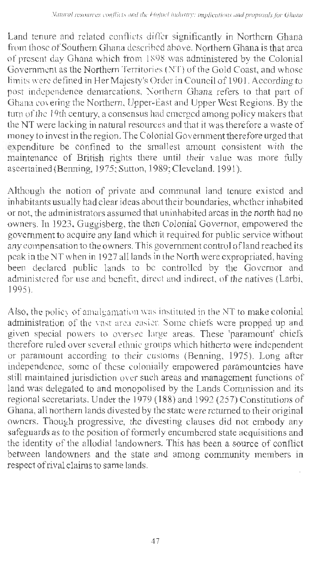Land tenure and related conflicts differ significantly in Northern Ghana from those of Southern Ghana described above. Northern Ghana is that area of present day Ghana which from I 898 was administered by the Colonial Government as the Northern Territories (NT) of the Gold Coast, and whose limits were defined in Her Majesty's Order in Council of 1901. According to post independence demarcations, Northern Ghana refers to that part of Ghana covering the Northern, Upper-East and Upper West Regions. By the turn of the I 9th century, a consensus had emerged among policy makers that the NT were lacking in natural resources and that it was therefore a waste of money to invest in the region. The Colonia I Government therefore urged that expenditure be confined to the smallest amount consistent with the maintenance of British rights there until their value was more fully ascertained (Benning, 1975; Sutton, 1989; Cleveland, 1991).

Although the notion of private and communal land tenure existed and inhabitants usually had clear ideas about their boundaries, whether inhabited or not, the administrators assumed that uninhabited areas in the north had no owners. In 1923, Guggisberg, the then Colonial Governor, empowered the government to acquire any land which it required for public service without any compensation to the owners. This government control ofland reached its peak in the NT when in 1927 all lands in the North were expropriated, having been declared public lands to be controlled by the Governor and administered for use and benefit, direct and indirect, of the natives (Larbi, 1995).

Also, the policy of amalgamation was instituted in the NT to make colonial administration of the vast area easier. Some chiefs were propped up and given special powers to oversee large areas. These 'paramount' chiefs therefore ruled over several ethnic groups which hitherto were independent or paramount according to their customs (Benning, 1975). Long after independence, some of these colonially empowered paramountcies have still maintained jurisdiction over such areas and management functions of land was delegated to and monopolised by the Lands Commission and its regional secretariats. Under the 1979 ( 188) and 1992 (257) Constitutions of Ghana, all northern lands divested by the state were returned to their original owners. Though progressive, the divesting clauses did not embody any safeguards as to the position of formerly encumbered state acquisitions and the identity of the allodial landowners. This has been a source of conflict between landowners and the state and among community members in respect of rival claims to same lands.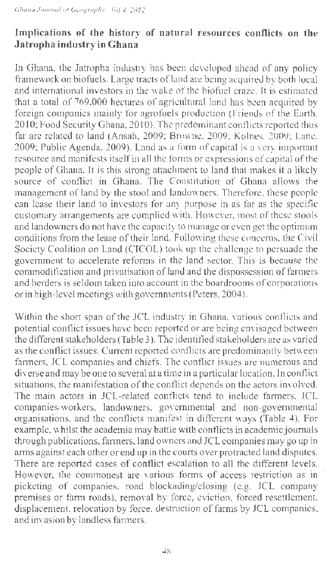#### **Implications of the history of natural resources conflicts on the Jatropha industry in Ghana**

In Ghana, the Jatropha industry has been developed ahead of any policy framework on biofuels. Large tracts of land are being acquired by both local and international investors in the wake of the biofuel craze. It is estimated that a total of 769,000 hectares of agricultural land has been acquired by foreign companies mainly for agrofuels production (Friends of the Earth, 2010; Food Security Ghana, 2010). The predominant conflicts reported thus far are related to land (Ansah, 2009; Browne, 2009; Kolnes, 2009; Lane, 2009; Public Agenda, 2009). Land as a form of capital is a very important resource and manifests itself in all the forms or expressions of capital of the people of Ghana. It is this strong attachment to land that makes it a likely source of conflict in Ghana. The Constitution of Ghana allows the management of land by the stool and landowners. Therefore, these people can lease their land to investors for any purpose in as far as the specific customary arrangements are complied with. However, most of these stools and landowners do not have the capacity to manage or even get the optimum conditions from the lease of their land. Following these concerns, the Civil Society Coalition on Land (CICOL) took up the challenge to persuade the government to accelerate reforms in the land sector. This is because the comrnodification and privatisation of land and the dispossession of farmers and herders is seldom taken into account in the boardrooms of corporations or in high-level meetings with governments (Peters, 2004).

Within the short span of the JCL industry in Ghana, various conflicts and potential conflict issues have been reported or are being envisaged between the different stakeholders (Table 3). The identified stakeholders are as varied as the conflict issues. Current reported conflicts are predominantly between farmers, JCL companies and chiefs. The conflict issues are numerous and diverse and may be one to several at a time in a particular location. In conflict situations, the manifestation of the conflict depends on the actors involved. The main actors in JCL-related conflicts tend to include farmers, JCL companies/workers, landowners, governmental and non-governmental organisations, and the conflicts manifest in different ways (Table 4). For example, whilst the academia may battle with conflicts in academic journals through publications, farmers, land owners and JCLcompanies may go up in arms against each other or end up in the courts over protracted land disputes. There are reported cases of conflict escalation to all the different levels. However, the commonest are various forms of access restriction as in picketing of companies, road blockading/closing (e.g. JCL company premises or fann roads), removal by force, eviction, forced resettlement, displacement, relocation by force, destruction of farms by JCL companies, and invasion by landless farmers.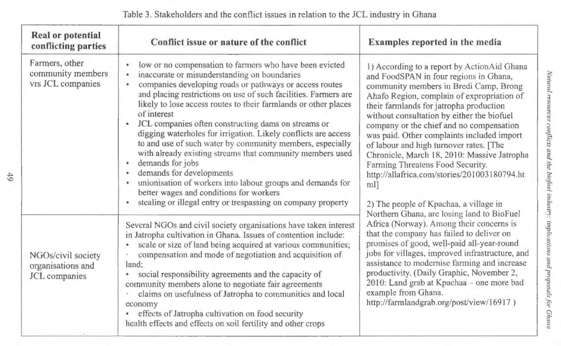| <b>Real or potential</b><br>conflicting parties                 | Conflict issue or nature of the conflict                                                                                                                                                                                                                                                                                                                                                                                                                                                                                                                                                                                                                                                                                                                                                                                                          | Examples reported in the media                                                                                                                                                                                                                                                                                                                                                                                                                                                                                                                                                                                                                                                                                                                                                                                                                                                                                                                                                                                                                       |
|-----------------------------------------------------------------|---------------------------------------------------------------------------------------------------------------------------------------------------------------------------------------------------------------------------------------------------------------------------------------------------------------------------------------------------------------------------------------------------------------------------------------------------------------------------------------------------------------------------------------------------------------------------------------------------------------------------------------------------------------------------------------------------------------------------------------------------------------------------------------------------------------------------------------------------|------------------------------------------------------------------------------------------------------------------------------------------------------------------------------------------------------------------------------------------------------------------------------------------------------------------------------------------------------------------------------------------------------------------------------------------------------------------------------------------------------------------------------------------------------------------------------------------------------------------------------------------------------------------------------------------------------------------------------------------------------------------------------------------------------------------------------------------------------------------------------------------------------------------------------------------------------------------------------------------------------------------------------------------------------|
| Farmers, other<br>community members<br>vrs JCL companies        | low or no compensation to farmers who have been evicted<br>inaccurate or misunderstanding on boundaries<br>۰<br>companies developing roads or pathways or access routes<br>$\bullet$<br>and placing restrictions on use of such facilities. Farmers are<br>likely to lose access routes to their farmlands or other places<br>of interest<br>JCL companies often constructing dams on streams or<br>٠<br>digging waterholes for irrigation. Likely conflicts are access<br>to and use of such water by community members, especially<br>with already existing streams that community members used<br>demands for jobs<br>۰<br>demands for developments<br>$\bullet$<br>unionisation of workers into labour groups and demands for<br>better wages and conditions for workers<br>stealing or illegal entry or trespassing on company property<br>٠ | 1) According to a report by ActionAid Ghana<br>and FoodSPAN in four regions in Ghana,<br>community members in Bredi Camp, Brong<br>Ahafo Region, complain of expropriation of<br>their farmlands for jatropha production<br>without consultation by either the biofuel<br>company or the chief and no compensation<br>was paid. Other complaints included import<br>of labour and high turnover rates. [The<br>Chronicle, March 18, 2010: Massive Jatropha<br>Farming Threatens Food Security.<br>http://allafrica.com/stories/201003180794.ht<br>ml]<br>2) The people of Kpachaa, a village in<br>Northern Ghana, are losing land to BioFuel<br>Africa (Norway). Among their concerns is<br>that the company has failed to deliver on<br>promises of good, well-paid all-year-round<br>jobs for villages, improved infrastructure, and<br>assistance to modernise farming and increase<br>productivity. (Daily Graphic, November 2,<br>2010: Land grab at Kpachaa - one more bad<br>example from Ghana.<br>http://farmlandgrab.org/post/view/16917) |
| NGOs/civil society<br>organisations and<br><b>JCL</b> companies | Several NGOs and civil society organisations have taken interest<br>in Jatropha cultivation in Ghana. Issues of contention include:<br>scale or size of land being acquired at various communities;<br>compensation and mode of negotiation and acquisition of<br>land:<br>social responsibility agreements and the capacity of<br>٠<br>community members alone to negotiate fair agreements<br>claims on usefulness of Jatropha to communities and local<br>economy<br>effects of Jatropha cultivation on food security<br>health effects and effects on soil fertility and other crops                                                                                                                                                                                                                                                          |                                                                                                                                                                                                                                                                                                                                                                                                                                                                                                                                                                                                                                                                                                                                                                                                                                                                                                                                                                                                                                                      |

Table 3. Stakeholders and the conflict issues in relation to the JCL industry in Ghana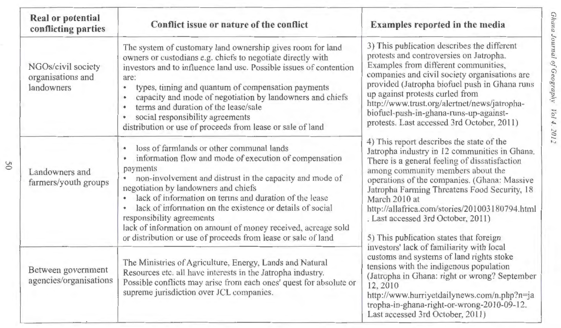| <b>Real or potential</b><br>conflicting parties       | Conflict issue or nature of the conflict                                                                                                                                                                                                                                                                                                                                                                                                                                                                                         | Examples reported in the media                                                                                                                                                                                                                                                                                                                                                                                                                                                                                                                                                                                                                                                                                                                                        |
|-------------------------------------------------------|----------------------------------------------------------------------------------------------------------------------------------------------------------------------------------------------------------------------------------------------------------------------------------------------------------------------------------------------------------------------------------------------------------------------------------------------------------------------------------------------------------------------------------|-----------------------------------------------------------------------------------------------------------------------------------------------------------------------------------------------------------------------------------------------------------------------------------------------------------------------------------------------------------------------------------------------------------------------------------------------------------------------------------------------------------------------------------------------------------------------------------------------------------------------------------------------------------------------------------------------------------------------------------------------------------------------|
| NGOs/civil society<br>organisations and<br>landowners | The system of customary land ownership gives room for land<br>owners or custodians e.g. chiefs to negotiate directly with<br>investors and to influence land use. Possible issues of contention<br>are:<br>types, timing and quantum of compensation payments<br>$\bullet$<br>capacity and mode of negotiation by landowners and chiefs<br>terms and duration of the lease/sale<br>$\bullet$<br>social responsibility agreements<br>٠<br>distribution or use of proceeds from lease or sale of land                              | 3) This publication describes the different<br>protests and controversies on Jatropha.<br>Examples from different communities,<br>companies and civil society organisations are<br>provided (Jatropha biofuel push in Ghana runs<br>up against protests curled from<br>http://www.trust.org/alertnet/news/jatropha-<br>biofuel-push-in-ghana-runs-up-against-<br>protests. Last accessed 3rd October, 2011)                                                                                                                                                                                                                                                                                                                                                           |
| Landowners and<br>farmers/youth groups                | loss of farmlands or other communal lands<br>٠<br>information flow and mode of execution of compensation<br>٠<br>payments<br>non-involvement and distrust in the capacity and mode of<br>$\bullet$<br>negotiation by landowners and chiefs<br>lack of information on terms and duration of the lease<br>lack of information on the existence or details of social<br>responsibility agreements<br>lack of information on amount of money received, acreage sold<br>or distribution or use of proceeds from lease or sale of land | 4) This report describes the state of the<br>Jatropha industry in 12 communities in Ghana.<br>There is a general feeling of dissatisfaction<br>among community members about the<br>operations of the companies. (Ghana: Massive<br>Jatropha Farming Threatens Food Security, 18<br>March 2010 at<br>http://allafrica.com/stories/201003180794.html<br>. Last accessed 3rd October, 2011)<br>5) This publication states that foreign<br>investors' lack of familiarity with local<br>customs and systems of land rights stoke<br>tensions with the indigenous population<br>(Jatropha in Ghana: right or wrong? September<br>12,2010<br>http://www.hurriyetdailynews.com/n.php?n=ja<br>tropha-in-ghana-right-or-wrong-2010-09-12.<br>Last accessed 3rd October, 2011) |
| Between government<br>agencies/organisations          | The Ministries of Agriculture, Energy, Lands and Natural<br>Resources etc. all have interests in the Jatropha industry.<br>Possible conflicts may arise from each ones' quest for absolute or<br>supreme jurisdiction over JCL companies.                                                                                                                                                                                                                                                                                        |                                                                                                                                                                                                                                                                                                                                                                                                                                                                                                                                                                                                                                                                                                                                                                       |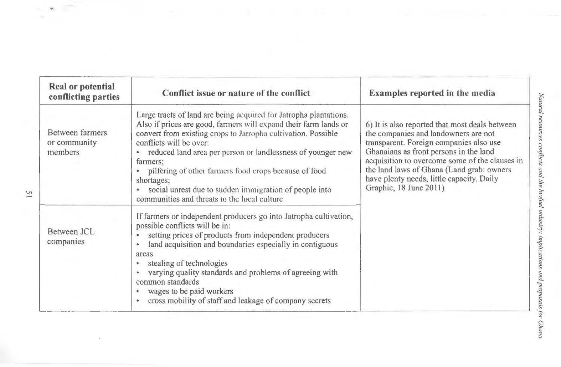| Real or potential<br>conflicting parties   | Conflict issue or nature of the conflict                                                                                                                                                                                                                                                                                                                                                                                                                                                        | <b>Examples reported in the media</b>                                                                                                                                                                                                                                                                                                             |  |
|--------------------------------------------|-------------------------------------------------------------------------------------------------------------------------------------------------------------------------------------------------------------------------------------------------------------------------------------------------------------------------------------------------------------------------------------------------------------------------------------------------------------------------------------------------|---------------------------------------------------------------------------------------------------------------------------------------------------------------------------------------------------------------------------------------------------------------------------------------------------------------------------------------------------|--|
| Between farmers<br>or community<br>members | Large tracts of land are being acquired for Jatropha plantations.<br>Also if prices are good, farmers will expand their farm lands or<br>convert from existing crops to Jatropha cultivation. Possible<br>conflicts will be over:<br>reduced land area per person or landlessness of younger new<br>farmers:<br>· pilfering of other farmers food crops because of food<br>shortages;<br>social unrest due to sudden immigration of people into<br>communities and threats to the local culture | 6) It is also reported that most deals between<br>the companies and landowners are not<br>transparent. Foreign companies also use<br>Ghanaians as front persons in the land<br>acquisition to overcome some of the clauses in<br>the land laws of Ghana (Land grab: owners<br>have plenty needs, little capacity. Daily<br>Graphic, 18 June 2011) |  |
| Between JCL<br>companies                   | If farmers or independent producers go into Jatropha cultivation,<br>possible conflicts will be in:<br>setting prices of products from independent producers<br>land acquisition and boundaries especially in contiguous<br>areas<br>stealing of technologies<br>varying quality standards and problems of agreeing with<br>common standards<br>wages to be paid workers<br>cross mobility of staff and leakage of company secrets                                                              |                                                                                                                                                                                                                                                                                                                                                   |  |

┙

 $\frac{1}{\alpha}$  $\mathcal{H}$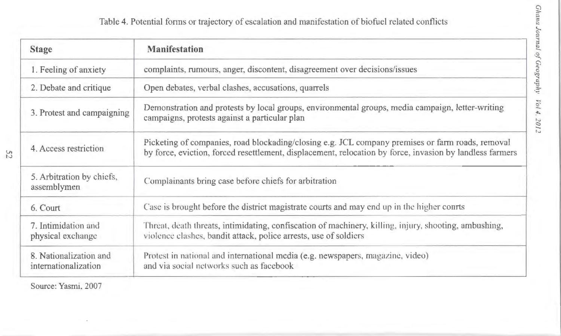Table 4. Potential forms or trajectory of escalation and manifestation of biofuel related conflicts

| <b>Stage</b>                                   | <b>Manifestation</b>                                                                                                                                                                                         |
|------------------------------------------------|--------------------------------------------------------------------------------------------------------------------------------------------------------------------------------------------------------------|
| 1. Feeling of anxiety                          | complaints, rumours, anger, discontent, disagreement over decisions/issues                                                                                                                                   |
| 2. Debate and critique                         | Open debates, verbal clashes, accusations, quarrels                                                                                                                                                          |
| 3. Protest and campaigning                     | Demonstration and protests by local groups, environmental groups, media campaign, letter-writing<br>campaigns, protests against a particular plan                                                            |
| 4. Access restriction                          | Picketing of companies, road blockading/closing e.g. JCL company premises or farm roads, removal<br>by force, eviction, forced resettlement, displacement, relocation by force, invasion by landless farmers |
| 5. Arbitration by chiefs,<br>assemblymen       | Complainants bring case before chiefs for arbitration                                                                                                                                                        |
| 6. Court                                       | Case is brought before the district magistrate courts and may end up in the higher courts                                                                                                                    |
| 7. Intimidation and<br>physical exchange       | Threat, death threats, intimidating, confiscation of machinery, killing, injury, shooting, ambushing,<br>violence clashes, bandit attack, police arrests, use of soldiers                                    |
| 8. Nationalization and<br>internationalization | Protest in national and international media (e.g. newspapers, magazine, video)<br>and via social networks such as facebook                                                                                   |

Source: Yasmi, 2007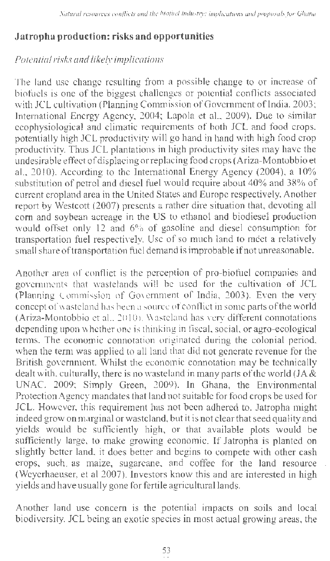# **Jatropha production: risks and opportunities**

### *Potential risks and likely implications*

The land use change resulting from a possible change to or increase of biofuels is one of the biggest challenges or potential conflicts associated with JCL cultivation (Planning Commission of Government of India, 2003; International Energy Agency, 2004; Lapola et al., 2009). Due to similar ecophysiological and climatic requirements of both JCL and food crops, potentially high JCL productivity will go hand in hand with high food crop productivity. Thus JCL plantations in high productivity sites may have the undesirable effect of displacing or replacing food crops (Ariza-Montobbio et al., 2010). According to the International Energy Agency (2004), a 10% substitution of petrol and diesel fuel would require about 40% and 38% of current cropland area in the United States and Europe respectively. Another report by Westcott (2007) presents a rather dire situation that, devoting all com and soybean acreage in the US to ethanol and biodiesel production would offset only 12 and 6% of gasoline and diesel consumption for transportation fuel respectively. Use of so much land to meet a relatively small share of transportation fuel demand is improbable if not unreasonable.

Another area of conflict is the perception of pro-biofuel companies and governments that wastelands will be used for the cultivation of JCL (Planning Commission of Government of India, 2003). Even the very concept of wasteland has been a source of conflict in some parts of the world (Ariza-Montobbio et al., 2010). Wasteland has very different connotations depending upon whether one is thinking in fiscal, social, or agro-ecological terms. The economic connotation originated during the colonial period, when the term was applied to all land that did not generate revenue for the British government. Whilst the economic connotation may be technically dealt with, culturally, there is no wasteland in many parts of the world (JA & UNAC, 2009; Simply Green, 2009). In Ghana, the Environmental Protection Agency mandates that land not suitable for food crops be used for JCL. However, this requirement has not been adhered to. Jatropha might indeed grow on marginal or wasteland, but it is not clear that seed quality and yields would be sufficiently high, or that available plots would be sufficiently large, to make growing economic. If Jatropha is planted on slightly better land, it does better and begins to compete with other cash crops, such. as maize, sugarcane, and coffee for the land resource (Weyerhaeuser, et al 2007). Investors know this and are interested in high yields and have usually gone for fertile agricultural lands.

Another land use concern is the potential impacts on soils and local biodiversity. JCL being an exotic species in most actual growing areas, the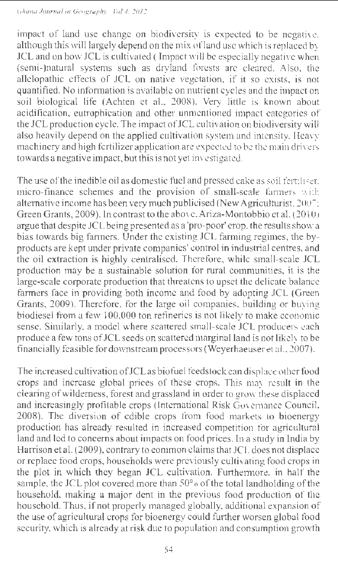impact of land use change on biodiversity is expected to be negative, although this will largely depend on the mix ofland use which is replaced by JCL and on how JCL is cultivated (Impact will be especially negative when (semi-)natural systems such as dryland forests are cleared. Also, the allelopathic effects of JCL on native vegetation, if it so exists, is not quantified. No information is available on nutrient cycles and the impact on soil biological life (Achten et al., 2008). Very little is known about acidification, eutrophication and other unmentioned impact categories of the JCL production cycle. The impact of JCL cultivation on biodiversity will also heavily depend on the applied cultivation system and intensity. Heavy machinery and high fertilizer application are expected to be the main drivers towards a negative impact, but this is not yet investigated.

The use of the inedible oil as domestic fuel and pressed cake as soil fertiliser. micro-finance schemes and the provision of small-scale farmers with alternative income has been very much publicised (New Agriculturist, 2007: Green Grants, 2009). In contrast to the above, Ariza-Montobbio et al. (2010) argue that despite JCL being presented as a 'pro-poor' crop, the results show a bias towards big farmers. Under the existing JCL farming regimes, the byproducts are kept under private companies' control in industrial centres, and the oil extraction is highly centralised. Therefore, while small-scale JCL production may be a sustainable solution for rural communities, it is the large-scale corporate production that threatens to upset the delicate balance farmers face in providing both income and food by adopting JCL (Green Grants, 2009). Therefore, for the large oil companies, building or buying biodiesel from a few 100,000 ton refineries is not likely to make economic sense. Similarly, a model where scattered small-scale JCL producers each produce a few tons of JCL seeds on scattered marginal land is not likely to be financially feasible for downstream processors (Weyerhaeuser et al., 2007).

The increased cultivation of JCL as biofuel feedstock can displace other food crops and increase global prices of these crops. This may result in the clearing of wilderness, forest and grassland in order to grow these displaced and increasingly profitable crops (International Risk Governance Council, 2008). The diversion of edible crops from food markets to bioenergy production has already resulted in increased competition for agricultural land and led to concerns about impacts on food prices. In a study in India by Harrison et al. (2009), contrary to common claims that JCL does not displace or replace food crops, households were previously cultivating food crops in the plot in which they began JCL cultivation. Furthermore, in half the sample, the JCL plot covered more than  $50^{\circ}$  of the total landholding of the household, making a major dent in the previous food production of the household. Thus, if not properly managed globally, additional expansion of the use of agricultural crops for bioenergy could further worsen global food security, which is already at risk due to population and consumption growth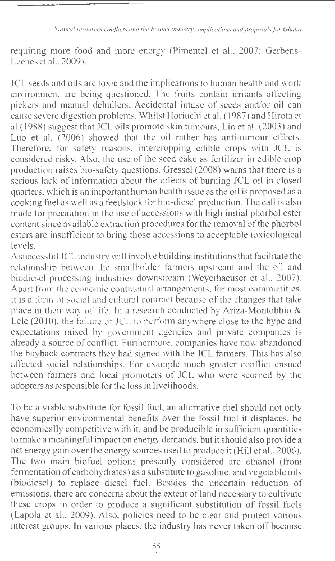*Natural resources conflicts and the biofuel industry: implications and proposals.for Ghana* 

requiring more food and more energy (Pimentel et al., 2007; Gerbens-Leenes et al., 2009).

JCL seeds and oils are toxic and the implications to human health and work environment are being questioned. The fruits contain irritants affecting pickers and manual dehullers. Accidental intake of seeds and/or oil can cause severe digestion problems. Whilst Horiuchi et al. ( 1987) and Hirota et al ( 1988) suggest that JCL oils promote skin tumours, Lin et al. (2003) and Luo et al. (2006) showed that the oil rather has anti-tumour effects. Therefore, for safety reasons, intercropping edible crops with JCL is considered risky. Also, the use of the seed cake as fertilizer in edible crop production raises bio-safety questions. Gressel (2008) warns that there is a serious lack of information about the effects of burning JCL oil in closed quarters, which is an important human health issue as the oil is proposed as a cooking fuel as well as a feedstock for bio-diesel production. The call is also made for precaution in the use of accessions with high initial phorbol ester content since available extraction procedures for the removal of the phorbol esters are insufficient to bring those accessions to acceptable toxicological levels.

A successful JCL industry will involve building institutions that facilitate the relationship between the smallholder farmers upstream and the oil and biodiesel processing industries downstream (Weyerhaeuser et al., 2007). Apart from the economic contractual arrangements, for most communities, it is a form of social and cultural contract because of the changes that take place in their way of life. In a research conducted by Ariza-Montobbio  $\&$ Lele (2010), the failure of JCL to perform anywhere close to the hype and expectations raised by government agencies and private companies is already a source of conflict. Furthermore, companies have now abandoned the buyback contracts they had signed with the JCL farmers. This has also affected social relationships. For example much greater conflict ensued between farmers and local promoters of JCL who were scorned by the adopters as responsible for the loss in livelihoods.

To be a viable substitute for fossil fuel, an alternative fuel should not only have superior environmental benefits over the fossil fuel it displaces, be economically competitive with it, and be producible in sufficient quantities to make a meaningful impact on energy demands, but it should also provide a net energy gain over the energy sources used to produce it (Hill et al., 2006). The two main biofuel options presently considered are ethanol (from . fermentation of carbohydrates) as a substitute to gasoline, and vegetable oils (biodiesel) to replace diesel fuel. Besides the uncertain reduction of emissions, there are concerns about the extent of land necessary to cultivate these crops in order to produce a significant substitution of fossil fuels (Lapola et al., 2009). Also, policies need to be clear and protect various interest groups. In various places, the industry has never taken off because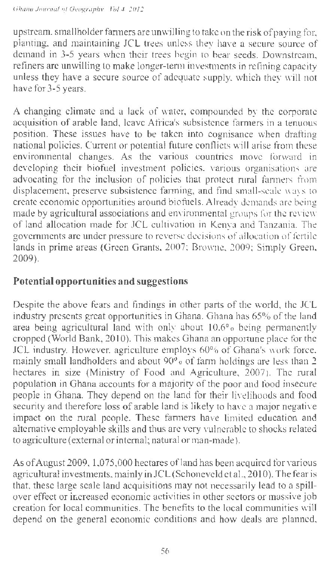upstream, smallholder farmers are unwilling to take on the risk of paying for, planting, and maintaining JCL trees unless they have a secure source of demand in 3-5 years when their trees begin to bear seeds. Downstream, refiners are unwilling to make longer-term investments in refining capacity unless they have a secure source of adequate supply, which they will not have for 3-5 years.

A changing climate and a lack of water, compounded by the corporate acquisition of arable land, leave Africa's subsistence farmers in a tenuous position. These issues have to be taken into cognisance when drafting national policies. Current or potential future conflicts will arise from these environmental changes. As the various countries move forward in developing their biofuel investment policies, various organisations are advocating for the inclusion of policies that protect rural farmers from displacement, preserve subsistence farming, and find small-scale ways to create economic opportunities around biofuels. Already demands are being made by agricultural associations and environmental groups for the review of land allocation made for JCL cultivation in Kenya and Tanzania. The governments are under pressure to reverse decisions of allocation of fertile lands in prime areas (Green Grants, 2007; Browne, 2009; Simply Green, 2009).

## **Potential opportunities and suggestions**

Despite the above fears and findings in other parts of the world, the JCL industry presents great opportunities in Ghana. Ghana has 65% of the land area being agricultural land with only about 10.6% being permanently cropped (World Bank, 2010). This makes Ghana an opportune place for the JCL industry. However, agriculture employs 60% of Ghana's work force, mainly small landholders and about  $90<sup>6</sup>$  of farm holdings are less than 2 hectares in size (Ministry of Food and Agriculture, 2007). The rural population in Ghana accounts for a majority of the poor and food insecure people in Ghana. They depend on the land for their livelihoods and food security and therefore loss of arable land is likely to have a major negative impact on the rural people. These farmers have limited education and alternative employable skills and thus are very vulnerable to shocks related to agriculture (external or internal; natural or man-made).

As of August 2009, 1,075,000 hectares of land has been acquired for various agricultural investments, mainly in JCL (Schoneveld et al., 2010). The fear is that, these large scale land acquisitions may not necessarily lead to a spillover effect or increased economic activities in other sectors or massive job creation for local communities. The benefits to the local communities will depend on the general economic conditions and how deals are planned,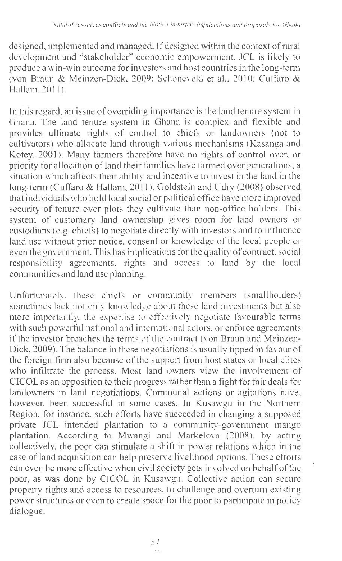designed, implemented and managed. If designed within the context of rural development and "stakeholder" economic empowerment, JCL is likely to produce a win-win outcome for investors and host countries in the long-tenn (von Braun & Meinzen-Dick, 2009; Schoneveld et al., 2010; Cuffaro & Hallam, 2011 ).

In this regard, an issue of overriding importance is the land tenure system in Ghana. The land tenure system in Ghana is complex and flexible and provides ultimate rights of control to chiefs or landowners (not to cultivators) who allocate land through various mechanisms (Kasanga and Kotey, 2001). Many farmers therefore have no rights of control over, or priority for allocation ofland their families have farmed over generations, a situation which affects their ability and incentive to invest in the land in the long-term (Cuffaro & Hallam, 2011). Goldstein and Udry (2008) observed that individuals who hold local social or political office have more improved security of tenure over plots they cultivate than non-office holders. This system of customary land ownership gives room for land owners or custodians (e.g. chiefs) to negotiate directly with investors and to influence land use without prior notice, consent or knowledge of the local people or even the government. This has implications for the quality of contract, social responsibility agreements, rights and access to land by the local communities and land use planning.

Unfortunately, these chiefs or community members (smallholders) sometimes lack not only knowledge about these land investments but also more importantly, the expertise to effectively negotiate favourable terms with such powerful national and international actors, or enforce agreements if the investor breaches the terms of the contract (von Braun and Meinzen-Dick, 2009). The balance in these negotiations is usually tipped in favour of the foreign firm also because of the support from host states or local elites who infiltrate the process. Most land owners view the involvement of CI COL as an opposition to their progress rather than a fight for fair deals for landowners in land negotiations. Communal actions or agitations have, however, been successful in some cases. In Kusawgu in the Northern Region, for instance, such efforts have succeeded in changing a supposed private JCL intended plantation to a community-government mango plantation. According to Mwangi and Markelova (2008), by acting collectively, the poor can stimulate a shift in power relations which in the case of land acquisition can help preserve livelihood options. These efforts can even be more effective when civil society gets involved on behalf of the poor, as was done by CICOL in Kusawgu. Collective action can secure property rights and access to resources, to challenge and overturn existing power structures or even to create space for the poor to participate in policy dialogue.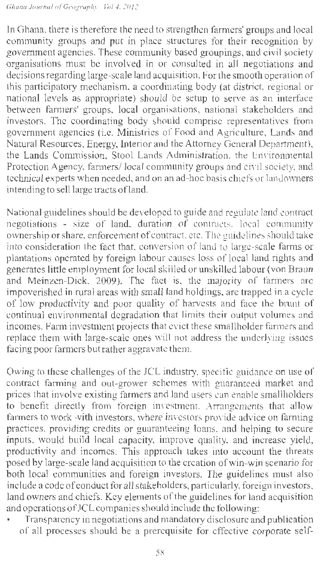*Ghana Journal of Geography Vol 4. 2012* 

In Ghana, there is therefore the need to strengthen farmers' groups and local community groups and put in place structures for their recognition by government agencies. These community based groupings, and civil society organisations must be involved in or consulted in all negotiations and decisions regarding large-scale land acquisition. For the smooth operation of this participatory mechanism, a coordinating body (at district, regional or national levels as appropriate) should be setup to serve as an interface between farmers' groups, local organisations, national stakeholders and investors. The coordinating body should comprise representatives from government agencies (i.e. Ministries of Food and Agriculture, Lands and Natural Resources, Energy, Interior and the Attorney General Department), the Lands Commission, Stool Lands Administration, the Environmental Protection Agency, farmers/ local community groups and civil society, and technical experts when needed, and on an ad-hoc basis chiefs or landowners intending to sell large tracts ofland.

National guidelines should be developed to guide and regulate land contract negotiations - size of land, duration of contracts, local community ownership or share, enforcement of contract, etc. The guidelines should take into consideration the fact that, conversion of land to large-scale farms or plantations operated by foreign labour causes loss of local land rights and generates little employment for local skilled or unskilled labour (von Braun and Meinzen-Dick, 2009). The fact is, the majority of farmers are impoverished in rural areas with small land holdings, are trapped in a cycle of low productivity and poor quality of harvests and face the brunt of continual environmental degradation that limits their output volumes and incomes. Farm investment projects that evict these smallholder farmers and replace them with large-scale ones will not address the underlying issues facing poor farmers but rather aggravate them.

Owing to these challenges of the JCL industry, specific guidance on use of contract farming and out-grower schemes with guaranteed market and prices that involve existing farmers and land users can enable smallholders to benefit directly from foreign investment. Arrangements that allow farmers to work with investors, where investors provide advice on farming practices, providing credits or guaranteeing loans, and helping to secure inputs, would build local capacity, improve quality, and increase yield, productivity and incomes. This approach takes into account the threats posed by large-scale land acquisition to the creation of win-win scenario for both local communities and foreign investors. The guidelines must also include a code of conduct for all stakeholders, particularly, foreign investors, land owners and chiefs. Key elements of the guidelines for land acquisition and operations of JCLcompanies should include the following:

Transparency in negotiations and mandatory disclosure and publication of all processes should be a prerequisite for effective corporate self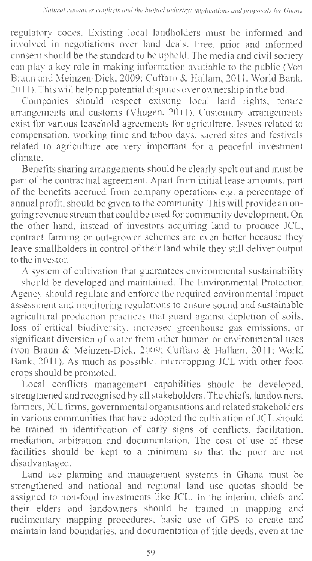regulatory codes. Existing local landholders must be informed and involved in negotiations over land deals. Free, prior and informed consent should be the standard to be upheld. The media and civil society can play a key role in making information available to the public (Von Braun and Meinzen-Dick, 2009; Cuffaro & Hallam, 2011, World Bank, 2011 ). This will help nip potential disputes over ownership in the bud.

Companies should respect existing local land rights, tenure arrangements and customs (Vhugen, 2011 ). Customary arrangements exist for various leasehold agreements for agriculture. Issues related to compensation, working time and taboo days, sacred sites and festivals related to agriculture are very important for a peaceful investment climate.

Benefits sharing arrangements should be clearly spelt out and must be part of the contractual agreement. Apart from initial lease amounts, part of the benefits accrued from company operations e.g. a percentage of annual profit, should be given to the community. This will provide an ongoing revenue stream that could be used for community development. On the other hand, instead of investors acquiring land to produce JCL, contract farming or out-grower schemes are even better because they leave smallholders in control of their land while they still deliver output to the investor.

A system of cultivation that guarantees environmental sustainability should be developed and maintained. The Environmental Protection Agency should regulate and enforce the required environmental impact assessment and monitoring regulations to ensure sound and sustainable agricultural production practices that guard against depletion of soils, loss of critical biodiversity, increased greenhouse gas emissions, or significant diversion of water from other human or environmental uses (von Braun & Meinzen-Dick, 2009; Cuffaro & Hallam, 2011; World Bank, 2011). As much as possible, intercropping JCL with other food crops should be promoted.

Local conflicts management capabilities should be developed, strengthened and recognised by all stakeholders. The chiefs, landowners, farmers, JCL firms, governmental organisations and related stakeholders in various communities that have adopted the cultivation of JCL should be trained in identification of early signs of conflicts, facilitation, mediation, arbitration and documentation. The cost of use of these facilities should be kept to a minimum so that the poor are not disadvantaged.

Land use planning and management systems in Ghana must be strengthened and national and regional land use quotas should be assigned to non-food investments like JCL. In the interim, chiefs and their elders and landowners should be trained in mapping and rudimentary mapping procedures, basic use of GPS to create and maintain land boundaries, and documentation of title deeds, even at the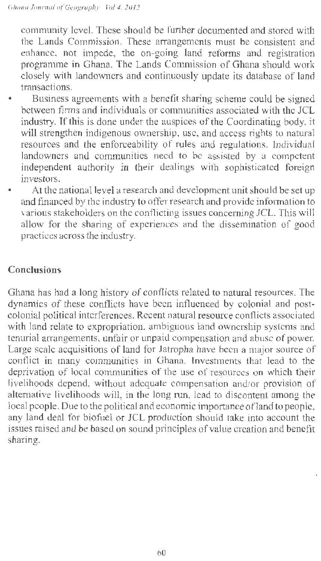community level. These should be further documented and stored with the Lands Commission. These arrangements must be consistent and enhance, not impede, the on-going land reforms and registration programme in Ghana. The Lands Commission of Ghana should work closely with landowners and continuously update its database of land transactions.

- Business agreements with a benefit sharing scheme could be signed between firms and individuals or communities associated with the JCL industry. If this is done under the auspices of the Coordinating body, it will strengthen indigenous ownership, use, and access rights to natural resources and the enforceability of rules and regulations. Individual landowners and communities need to be assisted by a competent independent authority in their dealings with sophisticated foreign investors.
- At the national level a research and development unit should be set up and financed by the industry to offer research and provide information to various stakeholders on the conflicting issues concerning JCL. This will allow for the sharing of experiences and the dissemination of good practices across the industry.

#### **Conclusions**

Ghana has had a long history of conflicts related to natural resources. The dynamics of these conflicts have been influenced by colonial and postcolonial political interferences. Recent natural resource conflicts associated with land relate to expropriation, ambiguous land ownership systems and tenurial arrangements, unfair or unpaid compensation and abuse of power. Large scale acquisitions of land for Jatropha have been a major source of conflict in many communities in Ghana. Investments that lead to the deprivation of local communities of the use of resources on which their livelihoods depend, without adequate compensation and/or provision of alternative livelihoods will, in the long run, lead to discontent among the local people. Due to the political and economic importance of land to people. any land deal for biofuel or JCL production should take into account the issues raised and be based on sound principles of value creation and benefit sharing.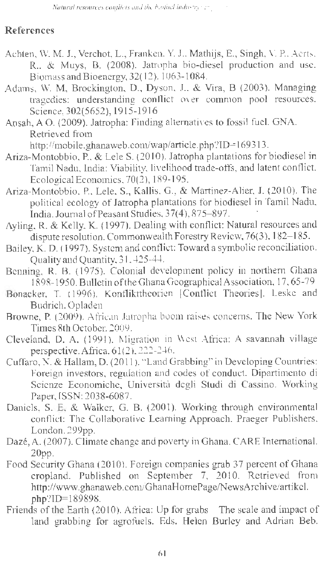#### **References**

- Achten, W. M. J., Verchot, L., Franken, Y. J., Mathijs, E., Singh, V. P., Aerts. R., & Muys, B. (2008). Jatropha bio-diesel production and use. Biomass and Bioenergy, 32( 12), 1063-1084.
- Adams, W. M, Brockington, D., Dyson, J., & Vira, B (2003). Managing tragedies: understanding conflict over common pool resources. Science,302(5652), 1915-1916
- Ansah, A 0 . (2009). Jatropha: Finding alternatives to fossil fuel. GNA. Retrieved from

http://mobile.ghanaweb.com/wap/article.php?ID=169313.

- Ariza-Montobbio, P., & Lele S. (2010). Jatropha plantations for biodiesel in Tamil Nadu, India: Viability, livelihood trade-offs, and latent conflict. Ecological Economics, 70(2), 189-195.
- Ariza-Montobbio, P., Lele, S., Kallis, G., & Martinez-Alier, J. (2010). The political ecology of Jatropha plantations for biodiesel in Tamil Nadu, India. Journal of Peasant Studies, 37(4), 875-897.
- Ayling, R. & Kelly, K. (1997). Dealing with conflict: Natural resources and dispute resolution. Commonwealth Forestry Review, 76(3), 182-185.
- Bailey, K. D. (1997). System and conflict: Toward a symbolic reconciliation. Quality and Quantity, 31, 425-44.
- Benning, R. B. (1975). Colonial development policy in northern Ghana 1898-1950. Bulletin of the Ghana Geographical Association, 17, 65-79
- Bonacker, T. (1996). Konflikttheorien [Conflict Theories]. Leske and Budrich, Opladen
- Browne, P. (2009). African Jatropha boom raises concerns. The New York Times 8th October, 2009.
- Cleveland, D. A. (1991). Migration in West Africa: A savannah village perspective. Africa,  $61(2)$ , 222-246.
- Cuffaro, N. & Hallam, D. (2011 ). "Land Grabbing" in Developing Countries: Foreign investors, regulation and codes of conduct. Dipartimento di Scienze Economiche, Universita degli Studi di Cassino. Working Paper, ISSN: 2038-6087.
- Daniels, S. E, & Walker, G. B. (2001). Working through environmental conflict: The Collaborative Leaming Approach. Praeger Publishers, London. 299pp.
- Daze, A. (2007). Climate change and poverty in Ghana. CARE International. 20pp.
- Food Security Ghana (2010). Foreign companies grab 37 percent of Ghana cropland. Published on September 7, 2010. Retrieved from http://www.ghanaweb.com/GhanaHomePage/NewsArchive/artikel. php?ID=l89898.
- Friends of the Earth (2010). Africa: Up for grabs The scale and impact of land grabbing for agrofuels. Eds. Helen Burley and Adrian Beb.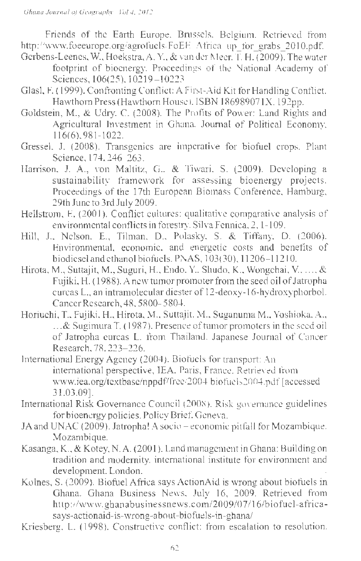Friends of the Earth Europe, Brussels, Belgium. Retrieved from http://www.foeeurope.org/agrofuels/FoEE Africa\_ up for grabs\_2010.pdf.

- Gerbens-Leenes, W., Hoekstra, A. Y., & van der Meer, T. H. (2009). The water footprint of bioenergy. Proceedings of the National Academy of Sciences, 106(25), 10219-10223
- Glasl, F. ( 1999). Confronting Conflict: A First-Aid Kit for Handling Conflict. Hawthorn Press (Hawthorn House). ISBN 186989071X. 192pp.
- Goldstein, M., & Udry, C. (2008). The Profits of Power: Land Rights and Agricultural Investment in Ghana. Journal of Political Economy, 116(6),981 -1022.
- Gressel, J. (2008). Transgenics are imperative for biofuel crops. Plant Science, 174, 246-263.
- Harrison, J. A., von Maltitz, G., & Tiwari, S. (2009). Developing a sustainability framework for assessing bioenergy projects. Proceedings of the 17th European Biomass Conference, Hamburg, 29th June to 3rd July 2009.
- Hellstrom, E. (2001). Conflict cultures: qualitative comparative analysis of environmental conflicts in forestry. Silva Fennica, 2, 1-109.
- Hill, J., Nelson, E., Tilman, D., Polasky, S. & Tiffany, D. (2006). Environmental, economic, and energetic costs and benefits of biodiesel and ethanol biofuels. PNAS,  $103(30)$ ,  $11206 - 11210$ .
- Hirota, M., Suttajit, M., Suguri, H., Endo, Y., Shudo, K., Wongchai, V., .. ., & Fujiki, H. ( 1988). A new tumor promoter from the seed oil of Jatropha curcas L., an intramolecular diester of 12-deoxy-16-hydroxyphorbol. Cancer Research, 48, 5800-5804.
- Horiuchi, T., Fujiki, H., Hirota, M., Suttajit, M., Suganuma M., Yoshioka, A., ... & Sugimura T. (1987). Presence of tumor promoters in the seed oil of Jatropha curcas L. from Thailand. Japanese Journal of Cancer Research, 78, 223-226.
- International Energy Agency (2004). Biofuels for transport: An international perspective, IEA, Paris, France. Retrieved from www.iea.org/textbase/nppdf/free/2004/biofuels2004. pdf [accessed 31.03.09].
- International Risk Governance Council (2008). Risk governance guidelines for bioenergy policies. Policy Brief. Geneva.
- JA and UNAC (2009). Jatropha! A socio economic pitfall for Mozambique. Mozambique.
- Kasanga, K., & Kotey, N. A. (2001 ). Land management in Ghana: Building on tradition and modernity. international institute for environment and development, London.
- Kolnes, S. (2009). Biofuel Africa says ActionAid is wrong about biofuels in Ghana. Ghana Business News, July 16, 2009. Retrieved from http://www.ghanabusinessnews.com/2009/07/16/biofuel-africasays-actionaid-is-wrong-about-biofuels-in-ghana/
- Kriesberg, L. (1998). Constructive conflict: from escalation to resolution.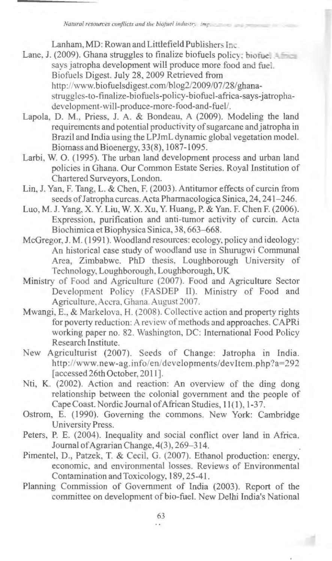*Natural resources conflicts and the biotuel industry incr.* 

Lanham, MD: Rowan and Littlefield Publishers Inc

- Lane, J. (2009). Ghana struggles to finalize biofuels policy: biofue.  $4\pm\frac{1}{2}$ says jatropha development will produce more food and fuel. Biofuels Digest. July 28, 2009 Retrieved from http://www.biofuelsdigest.com/blog2/2009/07 /28/ ghanastruggles-to-finalize-biofuels-policy-biofuel-africa-says-jatrophadevelopment-will-produce-more-food-and-fuel/.
- Lapola, D. M., Priess, J. A. & Bondeau, A (2009). Modeling the land requirements and potential productivity of sugarcane and jatropha in Brazil and India using the LPJmL dynamic global vegetation model. Biomass and Bioenergy, 33(8), 1087-1095.
- Larbi, W. 0. (1995). The urban land development process and urban land policies in Ghana. Our Common Estate Series. Royal Institution of Chartered Surveyors, London.
- Lin, J. Yan, F. Tang, L. & Chen, F. (2003). Antitumor effects of curcin from seeds of Jatropha curcas. Acta Pharmacologica Sinica, 24, 241-246.
- Luo, M. J. Yang, X. Y. Liu, W. X. Xu, Y. Huang, P. & Yan. F. Chen F. (2006). Expression, purification and anti-tumor activity of curcin. Acta Biochimica et Biophysica Sinica, 38, 663-668.
- McGregor, J. M. (1991). Woodland resources: ecology, policy and ideology: An historical case study of woodland use in Shurugwi Communal Area, Zimbabwe. PhD thesis, Loughborough University of Technology, Loughborough, Loughborough, UK
- Ministry of Food and Agriculture (2007). Food and Agriculture Sector Development Policy (FASDEP II). Ministry of Food and Agriculture, Accra. Ghana. August 2007.
- Mwangi, E., & Markelova, H. (2008). Collective action and property rights for poverty reduction: A review of methods and approaches. CAPRi working paper no. 82. Washington, DC: International Food Policy Research Institute.
- New Agriculturist (2007). Seeds of Change: Jatropha in India. http ://www.new-ag.info/en/ developments/ dev Item. php ?a=292 [accessed 26th October, 2011].
- Nti, K. (2002). Action and reaction: An overview of the ding dong relationship between the colonial government and the people of Cape Coast. Nordic Journal of African Studies, 11(1), 1-37.
- Ostrom, E. (1990). Governing the commons. New York: Cambridge University Press.
- Peters, P. E. (2004). Inequality and social conflict over land in Africa. Journal of Agrarian Change, 4(3 ), 269-314.
- Pimentel, D., Patzek, T. & Cecil, G. (2007). Ethanol production: energy, economic, and environmental losses. Reviews of Environmental Contamination and Toxicology, 189, 25-41.
- Planning Commission of Government of India (2003). Report of the committee on development of bio-fuel. New Delhi India's National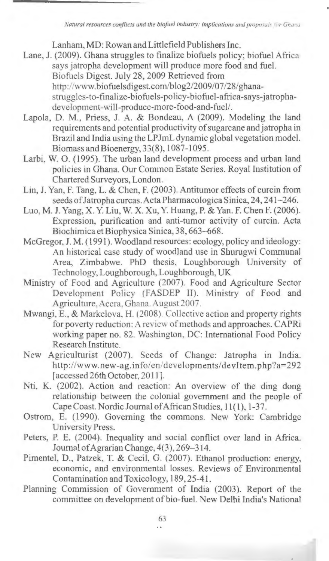*Natural resources conflicts and the biofuel industry: implications and proposals for Ghana* 

Lanham, MD: Rowan and Littlefield Publishers Inc.

- Lane, J. (2009). Ghana struggles to finalize biofuels policy; biofuel Africa says jatropha development will produce more food and fuel. Biofuels Digest. July 28, 2009 Retrieved from http://www.biofuelsdigest.com/blog2/2009/07/28/ghanastruggles-to-finalize-biofuels-policy-biofuel-africa-says-jatrophadevelopment-will-produce-more-food-and-fuel/.
- Lapola, D. M., Priess, J. A. & Bondeau, A (2009). Modeling the land requirements and potential productivity of sugarcane and jatropha in Brazil and India using the LPJmLdynamic global vegetation model. Biomass andBioenergy, 33(8), 1087-1095.
- Larbi, W. 0. (1995). The urban land development process and urban land policies in Ghana. Our Common Estate Series. Royal Institution of Chartered Surveyors, London.
- Lin, J. Yan, F. Tang, L. & Chen, F. (2003). Antitumor effects of curcin from seeds of Jatropha curcas. Acta Pharmacologica Sinica, 24, 241-246.
- Luo, M. J. Yang, X. Y. Liu, W. X. Xu, Y. Huang, P. & Yan. F. Chen F. (2006). Expression, purification and anti-tumor activity of curcin. Acta Biochimica et Biophysica Sinica, 38, 663-668.
- McGregor, J. M. (1991). Woodland resources: ecology, policy and ideology: An historical case study of woodland use in Shurugwi Communal Area, Zimbabwe. PhD thesis, Loughborough University of Technology, Loughborough, Loughborough, UK
- Ministry of Food and Agriculture (2007). Food and Agriculture Sector Development Policy (FASDEP II). Ministry of Food and Agriculture, Accra. Ghana. August 2007.
- Mwangi, E., & Markelova, H. (2008). Collective action and property rights for poverty reduction: A review of methods and approaches. CAPRi working paper no. 82. Washington, DC: International Food Policy Research Institute.
- New Agriculturist (2007). Seeds of Change: Jatropha in India. http://www.new-ag.info/en/developments/devltem.php?a=292 [accessed 26th October, 2011].
- Nti, K. (2002). Action and reaction: An overview of the ding dong relationship between the colonial government and the people of Cape Coast. Nordic Journal of African Studies, 11(1), 1-37.
- Ostrom, E. (1990). Governing the commons. New York: Cambridge University Press.
- Peters, P. E. (2004). Inequality and social conflict over land in Africa. Journal of Agrarian Change, 4(3), 269-314.
- Pimentel, D., Patzek, T. & Cecil, G. (2007). Ethanol production: energy, economic, and environmental losses. Reviews of Environmental Contamination and Toxicology, 189, 25-41.
- Planning Commission of Government of India (2003). Report of the committee on development of bio-fuel. New Delhi India's National